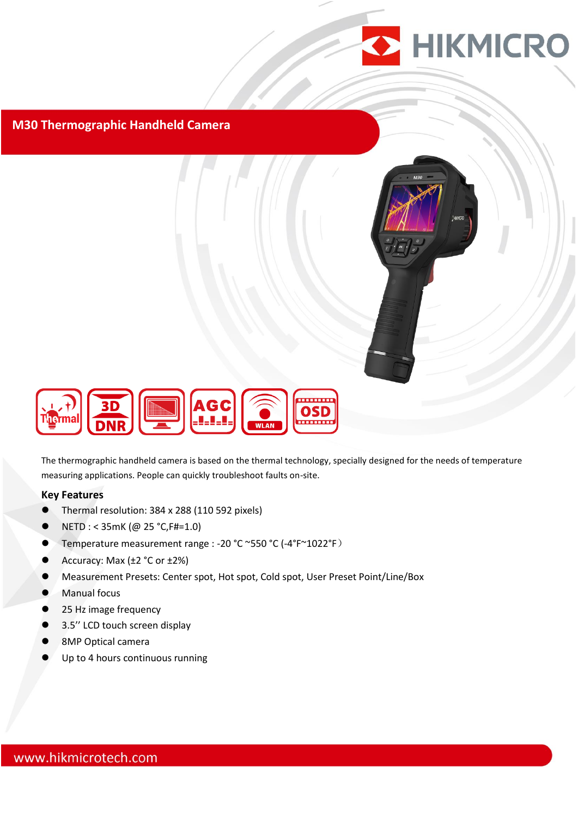

#### **M30 Thermographic Handheld Camera**





The thermographic handheld camera is based on the thermal technology, specially designed for the needs of temperature measuring applications. People can quickly troubleshoot faults on-site.

#### **Key Features**

- Thermal resolution: 384 x 288 (110 592 pixels)
- $\bullet$  NETD : < 35mK (@ 25 °C, F#=1.0)
- Temperature measurement range : -20 °C ~550 °C (-4°F~1022°F)
- Accuracy: Max  $(\pm 2 \degree C \text{ or } \pm 2\%)$
- Measurement Presets: Center spot, Hot spot, Cold spot, User Preset Point/Line/Box
- **Manual focus**
- 25 Hz image frequency
- 3.5'' LCD touch screen display
- 8MP Optical camera
- Up to 4 hours continuous running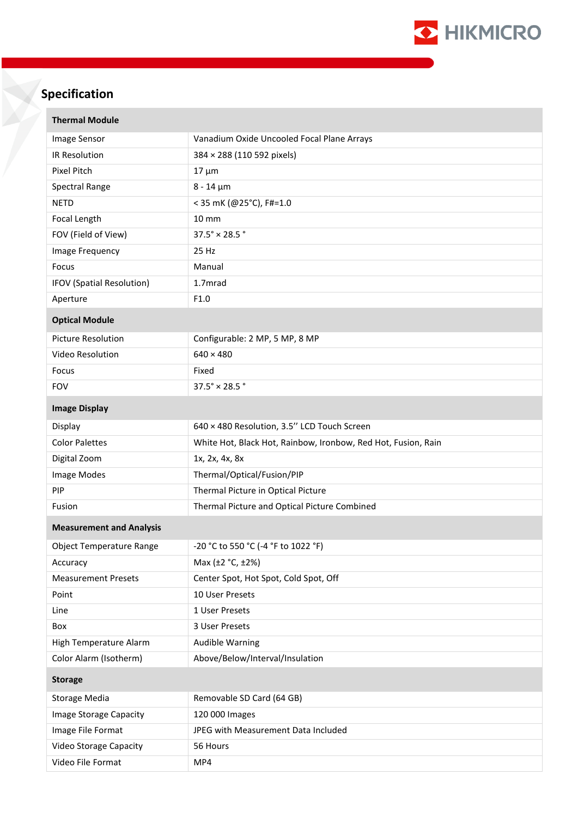

# **Specification**

| <b>Thermal Module</b>            |                                                               |  |
|----------------------------------|---------------------------------------------------------------|--|
| Image Sensor                     | Vanadium Oxide Uncooled Focal Plane Arrays                    |  |
| IR Resolution                    | 384 × 288 (110 592 pixels)                                    |  |
| Pixel Pitch                      | $17 \mu m$                                                    |  |
| Spectral Range                   | $8 - 14 \mu m$                                                |  |
| <b>NETD</b>                      | < 35 mK (@25°C), F#=1.0                                       |  |
| Focal Length                     | 10 mm                                                         |  |
| FOV (Field of View)              | $37.5^{\circ} \times 28.5^{\circ}$                            |  |
| Image Frequency                  | 25 Hz                                                         |  |
| Focus                            | Manual                                                        |  |
| <b>IFOV (Spatial Resolution)</b> | 1.7mrad                                                       |  |
| Aperture                         | F1.0                                                          |  |
| <b>Optical Module</b>            |                                                               |  |
| <b>Picture Resolution</b>        | Configurable: 2 MP, 5 MP, 8 MP                                |  |
| Video Resolution                 | $640 \times 480$                                              |  |
| Focus                            | Fixed                                                         |  |
| <b>FOV</b>                       | $37.5^\circ \times 28.5^\circ$                                |  |
| <b>Image Display</b>             |                                                               |  |
| Display                          | 640 × 480 Resolution, 3.5" LCD Touch Screen                   |  |
| <b>Color Palettes</b>            | White Hot, Black Hot, Rainbow, Ironbow, Red Hot, Fusion, Rain |  |
| Digital Zoom                     | 1x, 2x, 4x, 8x                                                |  |
| Image Modes                      | Thermal/Optical/Fusion/PIP                                    |  |
| PIP                              | Thermal Picture in Optical Picture                            |  |
| Fusion                           | Thermal Picture and Optical Picture Combined                  |  |
| <b>Measurement and Analysis</b>  |                                                               |  |
| <b>Object Temperature Range</b>  | -20 °C to 550 °C (-4 °F to 1022 °F)                           |  |
| Accuracy                         | Max (±2 °C, ±2%)                                              |  |
| <b>Measurement Presets</b>       | Center Spot, Hot Spot, Cold Spot, Off                         |  |
| Point                            | 10 User Presets                                               |  |
| Line                             | 1 User Presets                                                |  |
| Box                              | 3 User Presets                                                |  |
| High Temperature Alarm           | <b>Audible Warning</b>                                        |  |
| Color Alarm (Isotherm)           | Above/Below/Interval/Insulation                               |  |
| <b>Storage</b>                   |                                                               |  |
| <b>Storage Media</b>             | Removable SD Card (64 GB)                                     |  |
| Image Storage Capacity           | 120 000 Images                                                |  |
| Image File Format                | JPEG with Measurement Data Included                           |  |
| Video Storage Capacity           | 56 Hours                                                      |  |
| Video File Format                | MP4                                                           |  |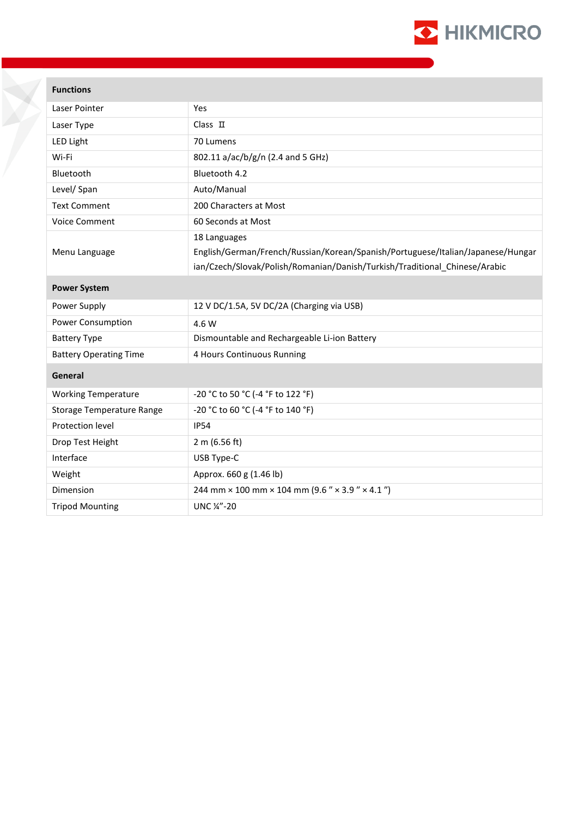

## **Functions**

| Laser Pointer                    | Yes                                                                             |
|----------------------------------|---------------------------------------------------------------------------------|
| Laser Type                       | $Class$ $\Pi$                                                                   |
| LED Light                        | 70 Lumens                                                                       |
| Wi-Fi                            | 802.11 a/ac/b/g/n (2.4 and 5 GHz)                                               |
| Bluetooth                        | Bluetooth 4.2                                                                   |
| Level/ Span                      | Auto/Manual                                                                     |
| <b>Text Comment</b>              | 200 Characters at Most                                                          |
| <b>Voice Comment</b>             | 60 Seconds at Most                                                              |
|                                  | 18 Languages                                                                    |
| Menu Language                    | English/German/French/Russian/Korean/Spanish/Portuguese/Italian/Japanese/Hungar |
|                                  | ian/Czech/Slovak/Polish/Romanian/Danish/Turkish/Traditional Chinese/Arabic      |
| <b>Power System</b>              |                                                                                 |
| Power Supply                     | 12 V DC/1.5A, 5V DC/2A (Charging via USB)                                       |
| Power Consumption                | 4.6 W                                                                           |
| <b>Battery Type</b>              | Dismountable and Rechargeable Li-ion Battery                                    |
| <b>Battery Operating Time</b>    | 4 Hours Continuous Running                                                      |
| General                          |                                                                                 |
| <b>Working Temperature</b>       | -20 °C to 50 °C (-4 °F to 122 °F)                                               |
| <b>Storage Temperature Range</b> | -20 °C to 60 °C (-4 °F to 140 °F)                                               |
| Protection level                 | <b>IP54</b>                                                                     |
| Drop Test Height                 | 2 m (6.56 ft)                                                                   |
| Interface                        | USB Type-C                                                                      |
| Weight                           | Approx. 660 g (1.46 lb)                                                         |
| Dimension                        | 244 mm $\times$ 100 mm $\times$ 104 mm (9.6 " $\times$ 3.9 " $\times$ 4.1 ")    |
| <b>Tripod Mounting</b>           | UNC 1/4"-20                                                                     |